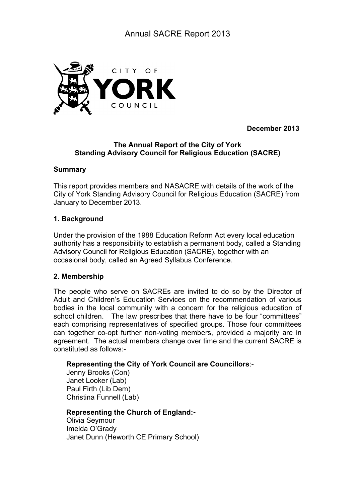

**December 2013**

# **The Annual Report of the City of York Standing Advisory Council for Religious Education (SACRE)**

## **Summary**

This report provides members and NASACRE with details of the work of the City of York Standing Advisory Council for Religious Education (SACRE) from January to December 2013.

# **1. Background**

Under the provision of the 1988 Education Reform Act every local education authority has a responsibility to establish a permanent body, called a Standing Advisory Council for Religious Education (SACRE), together with an occasional body, called an Agreed Syllabus Conference.

# **2. Membership**

The people who serve on SACREs are invited to do so by the Director of Adult and Children's Education Services on the recommendation of various bodies in the local community with a concern for the religious education of school children. The law prescribes that there have to be four "committees" each comprising representatives of specified groups. Those four committees can together co-opt further non-voting members, provided a majority are in agreement. The actual members change over time and the current SACRE is constituted as follows:-

# **Representing the City of York Council are Councillors**:-

Jenny Brooks (Con) Janet Looker (Lab) Paul Firth (Lib Dem) Christina Funnell (Lab)

# **Representing the Church of England:-**

Olivia Seymour Imelda O'Grady Janet Dunn (Heworth CE Primary School)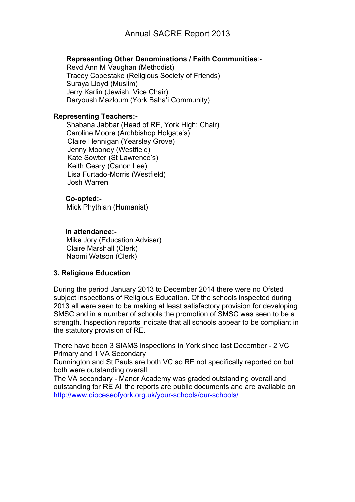## **Representing Other Denominations / Faith Communities**:-

Revd Ann M Vaughan (Methodist) Tracey Copestake (Religious Society of Friends) Suraya Lloyd (Muslim) Jerry Karlin (Jewish, Vice Chair) Daryoush Mazloum (York Baha'i Community)

### **Representing Teachers:-**

Shabana Jabbar (Head of RE, York High; Chair) Caroline Moore (Archbishop Holgate's) Claire Hennigan (Yearsley Grove) Jenny Mooney (Westfield) Kate Sowter (St Lawrence's) Keith Geary (Canon Lee) Lisa Furtado-Morris (Westfield) Josh Warren

## **Co-opted:-**

Mick Phythian (Humanist)

## **In attendance:-**

Mike Jory (Education Adviser) Claire Marshall (Clerk) Naomi Watson (Clerk)

# **3. Religious Education**

During the period January 2013 to December 2014 there were no Ofsted subject inspections of Religious Education. Of the schools inspected during 2013 all were seen to be making at least satisfactory provision for developing SMSC and in a number of schools the promotion of SMSC was seen to be a strength. Inspection reports indicate that all schools appear to be compliant in the statutory provision of RE.

There have been 3 SIAMS inspections in York since last December - 2 VC Primary and 1 VA Secondary

Dunnington and St Pauls are both VC so RE not specifically reported on but both were outstanding overall

The VA secondary - Manor Academy was graded outstanding overall and outstanding for RE All the reports are public documents and are available on http://www.dioceseofyork.org.uk/your-schools/our-schools/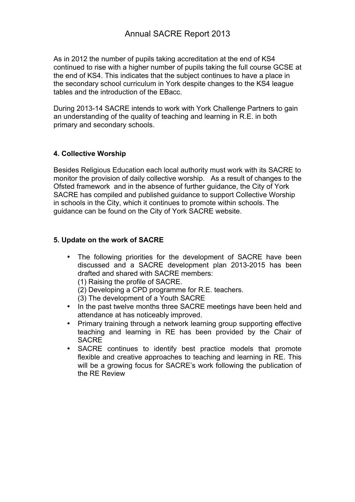As in 2012 the number of pupils taking accreditation at the end of KS4 continued to rise with a higher number of pupils taking the full course GCSE at the end of KS4. This indicates that the subject continues to have a place in the secondary school curriculum in York despite changes to the KS4 league tables and the introduction of the EBacc.

During 2013-14 SACRE intends to work with York Challenge Partners to gain an understanding of the quality of teaching and learning in R.E. in both primary and secondary schools.

# **4. Collective Worship**

Besides Religious Education each local authority must work with its SACRE to monitor the provision of daily collective worship. As a result of changes to the Ofsted framework and in the absence of further guidance, the City of York SACRE has compiled and published guidance to support Collective Worship in schools in the City, which it continues to promote within schools. The guidance can be found on the City of York SACRE website.

# **5. Update on the work of SACRE**

• The following priorities for the development of SACRE have been discussed and a SACRE development plan 2013-2015 has been drafted and shared with SACRE members:

(1) Raising the profile of SACRE.

(2) Developing a CPD programme for R.E. teachers.

(3) The development of a Youth SACRE

- In the past twelve months three SACRE meetings have been held and attendance at has noticeably improved.
- Primary training through a network learning group supporting effective teaching and learning in RE has been provided by the Chair of SACRE
- SACRE continues to identify best practice models that promote flexible and creative approaches to teaching and learning in RE. This will be a growing focus for SACRE's work following the publication of the RE Review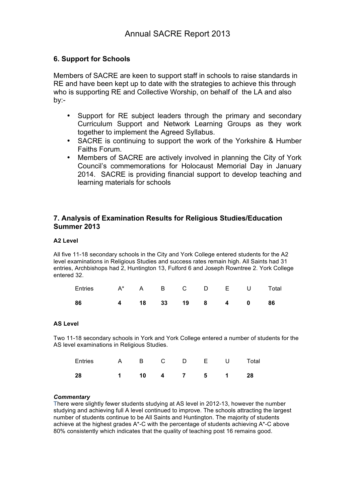# **6. Support for Schools**

Members of SACRE are keen to support staff in schools to raise standards in RE and have been kept up to date with the strategies to achieve this through who is supporting RE and Collective Worship, on behalf of the LA and also by:-

- Support for RE subject leaders through the primary and secondary Curriculum Support and Network Learning Groups as they work together to implement the Agreed Syllabus.
- SACRE is continuing to support the work of the Yorkshire & Humber Faiths Forum.
- Members of SACRE are actively involved in planning the City of York Council's commemorations for Holocaust Memorial Day in January 2014. SACRE is providing financial support to develop teaching and learning materials for schools

### **7. Analysis of Examination Results for Religious Studies/Education Summer 2013**

#### **A2 Level**

All five 11-18 secondary schools in the City and York College entered students for the A2 level examinations in Religious Studies and success rates remain high. All Saints had 31 entries, Archbishops had 2, Huntington 13, Fulford 6 and Joseph Rowntree 2. York College entered 32.

| Entries A* A B C D E U Total |  |  |  |  |
|------------------------------|--|--|--|--|
| 4 18 33 19 8 4 0 86<br>86    |  |  |  |  |

#### **AS Level**

Two 11-18 secondary schools in York and York College entered a number of students for the AS level examinations in Religious Studies.

| Entries A B C D E U Total |                 |  |  |  |
|---------------------------|-----------------|--|--|--|
| 28                        | 1 10 4 7 5 1 28 |  |  |  |

#### *Commentary*

There were slightly fewer students studying at AS level in 2012-13, however the number studying and achieving full A level continued to improve. The schools attracting the largest number of students continue to be All Saints and Huntington. The majority of students achieve at the highest grades A\*-C with the percentage of students achieving A\*-C above 80% consistently which indicates that the quality of teaching post 16 remains good.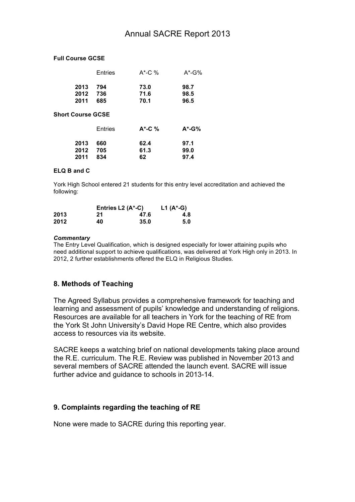### **Full Course GCSE**

|                          | Entries           | $A^*$ -C %           | $A^*$ -G%            |
|--------------------------|-------------------|----------------------|----------------------|
| 2013<br>2012<br>2011     | 794<br>736<br>685 | 73.0<br>71.6<br>70.1 | 98.7<br>98.5<br>96.5 |
| <b>Short Course GCSE</b> |                   |                      |                      |
|                          | Entries           | $A^*$ -C %           | $A^*$ -G%            |
| 2013<br>2012<br>2011     | 660<br>705<br>834 | 62.4<br>61.3<br>62   | 97.1<br>99.0<br>97.4 |

### **ELQ B and C**

York High School entered 21 students for this entry level accreditation and achieved the following:

|      | Entries L2 $(A^{\star} - C)$ | L1 $(A^* - G)$ |     |
|------|------------------------------|----------------|-----|
| 2013 | 21                           | 47.6           | 4.8 |
| 2012 | 40                           | 35.0           | 5.0 |

#### *Commentary*

The Entry Level Qualification, which is designed especially for lower attaining pupils who need additional support to achieve qualifications, was delivered at York High only in 2013. In 2012, 2 further establishments offered the ELQ in Religious Studies.

### **8. Methods of Teaching**

The Agreed Syllabus provides a comprehensive framework for teaching and learning and assessment of pupils' knowledge and understanding of religions. Resources are available for all teachers in York for the teaching of RE from the York St John University's David Hope RE Centre, which also provides access to resources via its website.

SACRE keeps a watching brief on national developments taking place around the R.E. curriculum. The R.E. Review was published in November 2013 and several members of SACRE attended the launch event. SACRE will issue further advice and guidance to schools in 2013-14.

### **9. Complaints regarding the teaching of RE**

None were made to SACRE during this reporting year.